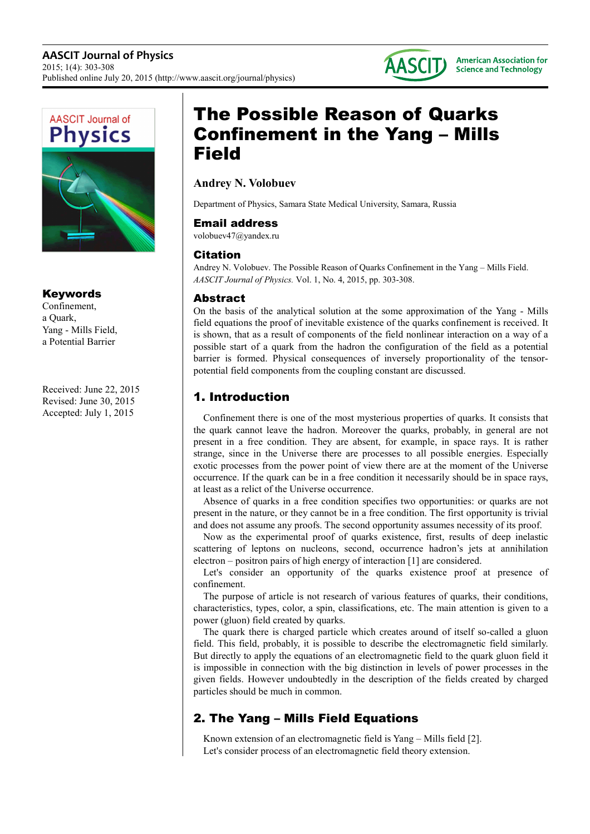



## Keywords

Confinement, a Quark, Yang - Mills Field, a Potential Barrier

Received: June 22, 2015 Revised: June 30, 2015 Accepted: July 1, 2015

# The Possible Reason of Quarks Confinement in the Yang – Mills Field

## **Andrey N. Volobuev**

Department of Physics, Samara State Medical University, Samara, Russia

## Email address

volobuev47@yandex.ru

## Citation

Andrey N. Volobuev. The Possible Reason of Quarks Confinement in the Yang – Mills Field. *AASCIT Journal of Physics.* Vol. 1, No. 4, 2015, pp. 303-308.

## Abstract

On the basis of the analytical solution at the some approximation of the Yang - Mills field equations the proof of inevitable existence of the quarks confinement is received. It is shown, that as a result of components of the field nonlinear interaction on a way of a possible start of a quark from the hadron the configuration of the field as a potential barrier is formed. Physical consequences of inversely proportionality of the tensorpotential field components from the coupling constant are discussed.

## 1. Introduction

Confinement there is one of the most mysterious properties of quarks. It consists that the quark cannot leave the hadron. Moreover the quarks, probably, in general are not present in a free condition. They are absent, for example, in space rays. It is rather strange, since in the Universe there are processes to all possible energies. Especially exotic processes from the power point of view there are at the moment of the Universe occurrence. If the quark can be in a free condition it necessarily should be in space rays, at least as a relict of the Universe occurrence.

Absence of quarks in a free condition specifies two opportunities: or quarks are not present in the nature, or they cannot be in a free condition. The first opportunity is trivial and does not assume any proofs. The second opportunity assumes necessity of its proof.

Now as the experimental proof of quarks existence, first, results of deep inelastic scattering of leptons on nucleons, second, occurrence hadron's jets at annihilation electron – positron pairs of high energy of interaction [1] are considered.

Let's consider an opportunity of the quarks existence proof at presence of confinement.

The purpose of article is not research of various features of quarks, their conditions, characteristics, types, color, a spin, classifications, etc. The main attention is given to a power (gluon) field created by quarks.

The quark there is charged particle which creates around of itself so-called a gluon field. This field, probably, it is possible to describe the electromagnetic field similarly. But directly to apply the equations of an electromagnetic field to the quark gluon field it is impossible in connection with the big distinction in levels of power processes in the given fields. However undoubtedly in the description of the fields created by charged particles should be much in common.

## 2. The Yang – Mills Field Equations

Known extension of an electromagnetic field is Yang – Mills field [2]. Let's consider process of an electromagnetic field theory extension.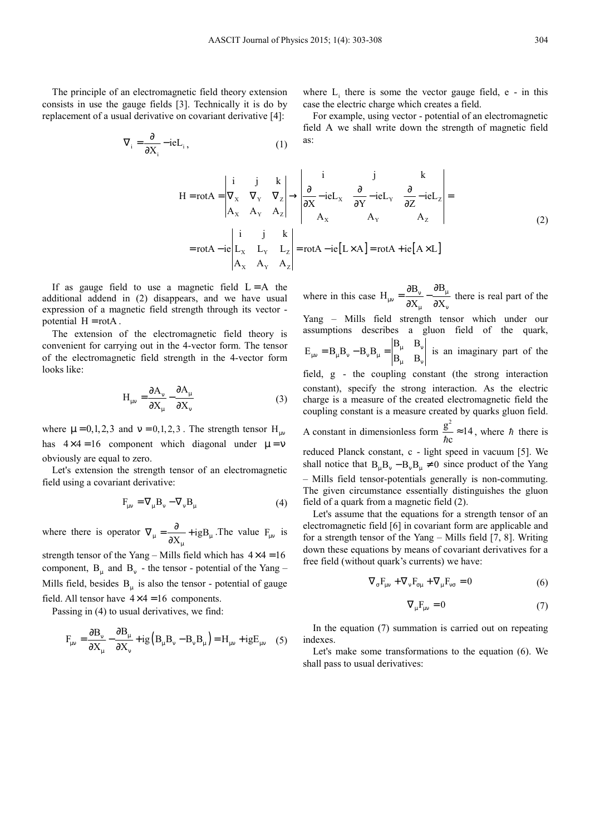The principle of an electromagnetic field theory extension consists in use the gauge fields [3]. Technically it is do by replacement of a usual derivative on covariant derivative [4]:

$$
\nabla_{i} = \frac{\partial}{\partial X_{i}} - ieL_{i}, \qquad (1)
$$

where  $L_i$  there is some the vector gauge field, e - in this case the electric charge which creates a field.

For example, using vector - potential of an electromagnetic field A we shall write down the strength of magnetic field as:

$$
H = rotA = \begin{vmatrix} i & j & k \\ \nabla_x & \nabla_y & \nabla_z \\ \nA_x & A_y & A_z \end{vmatrix} \rightarrow \begin{vmatrix} i & j & k \\ \n\frac{\partial}{\partial X} - ieL_x & \frac{\partial}{\partial Y} - ieL_y & \frac{\partial}{\partial Z} - ieL_z \\ \nA_x & A_y & A_z \end{vmatrix} = \text{rot}A - ie \begin{vmatrix} i & j & k \\ L_x & L_y & L_z \\ \nA_x & A_y & A_z \end{vmatrix} = \text{rot}A - ie [L \times A] = \text{rot}A + ie [A \times L]
$$
\n(2)

If as gauge field to use a magnetic field  $L = A$  the additional addend in (2) disappears, and we have usual expression of a magnetic field strength through its vector potential  $H = rotA$ .

The extension of the electromagnetic field theory is convenient for carrying out in the 4-vector form. The tensor of the electromagnetic field strength in the 4-vector form looks like:

$$
H_{\mu\nu} = \frac{\partial A_{\nu}}{\partial X_{\mu}} - \frac{\partial A_{\mu}}{\partial X_{\nu}}
$$
 (3)

where  $\mu = 0, 1, 2, 3$  and  $v = 0, 1, 2, 3$ . The strength tensor  $H_{uv}$ has  $4 \times 4 = 16$  component which diagonal under  $\mu = v$ obviously are equal to zero.

Let's extension the strength tensor of an electromagnetic field using a covariant derivative:

$$
F_{\mu\nu} = \nabla_{\mu} B_{\nu} - \nabla_{\nu} B_{\mu} \tag{4}
$$

where there is operator  $\nabla_{\mu} = \frac{\partial}{\partial X_{\mu}} + igB_{\mu}$  $\nabla_{\mu} = \frac{\partial}{\partial X_{\mu}} + igB_{\mu}$ . The value  $F_{\mu\nu}$  is

strength tensor of the Yang – Mills field which has  $4 \times 4 = 16$ component,  $B_{\mu}$  and  $B_{\nu}$  - the tensor - potential of the Yang – Mills field, besides  $B_{\mu}$  is also the tensor - potential of gauge field. All tensor have  $4 \times 4 = 16$  components.

Passing in (4) to usual derivatives, we find:

$$
F_{\mu\nu} = \frac{\partial B_{\nu}}{\partial X_{\mu}} - \frac{\partial B_{\mu}}{\partial X_{\nu}} + ig\left(B_{\mu}B_{\nu} - B_{\nu}B_{\mu}\right) = H_{\mu\nu} + igE_{\mu\nu} \quad (5)
$$

where in this case  $H_{uv} = \frac{\partial B_v}{\partial x} - \frac{\partial B}{\partial x}$  $X_{\mu}$   $\partial X$  $_{\mu\nu} = \frac{\partial \mathbf{D}_{\nu}}{\partial \mathbf{X}_{\mu}} - \frac{\partial \mathbf{D}_{\mu}}{\partial \mathbf{X}_{\nu}}$  $=\frac{\partial B_{\nu}}{\partial x} - \frac{\partial}{\partial y}$  $\frac{\partial \Sigma_{\nu}}{\partial X_{\nu}}$  -  $\frac{\mu}{\partial X_{\nu}}$  there is real part of the Yang – Mills field strength tensor which under our assumptions describes a gluon field of the quark,  $B_\mu - B_\nu$  $E_{\mu\nu} = B_{\mu}B_{\nu} - B_{\nu}B_{\mu} = \begin{vmatrix} \mu \\ B_{\mu} \end{vmatrix}$  $_{\mu\nu} = B_{\mu}B_{\nu} - B_{\nu}B_{\mu} = \begin{vmatrix} B_{\mu} & B_{\nu} \\ B_{\mu} & B_{\nu} \end{vmatrix}$  $= B_{\shortparallel} B_{\shortparallel} - B_{\shortparallel} B_{\shortparallel} = \begin{vmatrix} 0 & \mu & \mu \\ 0 & \mu & \mu \end{vmatrix}$  is an imaginary part of the field, g - the coupling constant (the strong interaction constant), specify the strong interaction. As the electric charge is a measure of the created electromagnetic field the coupling constant is a measure created by quarks gluon field. A constant in dimensionless form  $\frac{g^2}{1} \approx 14$ c  $\frac{g}{\hbar c} \approx 14$ , where  $\hbar$  there is reduced Planck constant, c - light speed in vacuum [5]. We shall notice that  $B_{\mu}B_{\nu} - B_{\nu}B_{\mu} \neq 0$  since product of the Yang – Mills field tensor-potentials generally is non-commuting. The given circumstance essentially distinguishes the gluon field of a quark from a magnetic field (2). Let's assume that the equations for a strength tensor of an

electromagnetic field [6] in covariant form are applicable and for a strength tensor of the Yang – Mills field [7, 8]. Writing down these equations by means of covariant derivatives for a free field (without quark's currents) we have:

$$
\nabla_{\sigma} F_{\mu\nu} + \nabla_{\nu} F_{\sigma\mu} + \nabla_{\mu} F_{\nu\sigma} = 0 \tag{6}
$$

$$
\nabla_{\mu}F_{\mu\nu} = 0 \tag{7}
$$

In the equation (7) summation is carried out on repeating indexes.

Let's make some transformations to the equation (6). We shall pass to usual derivatives: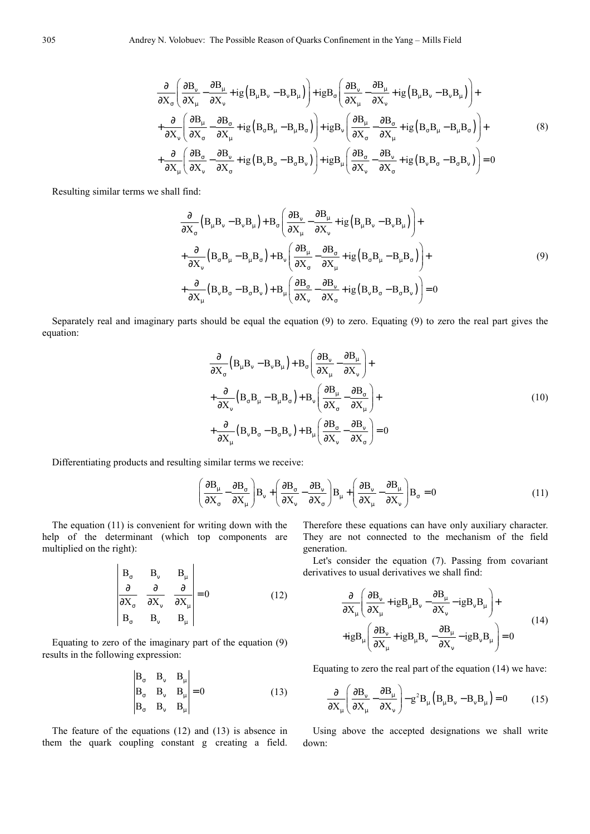$$
\frac{\partial}{\partial X_{\sigma}} \left( \frac{\partial B_{\nu}}{\partial X_{\mu}} - \frac{\partial B_{\mu}}{\partial X_{\nu}} + ig \left( B_{\mu} B_{\nu} - B_{\nu} B_{\mu} \right) \right) + ig B_{\sigma} \left( \frac{\partial B_{\nu}}{\partial X_{\mu}} - \frac{\partial B_{\mu}}{\partial X_{\nu}} + ig \left( B_{\mu} B_{\nu} - B_{\nu} B_{\mu} \right) \right) + \frac{\partial}{\partial X_{\nu}} \left( \frac{\partial B_{\mu}}{\partial X_{\sigma}} - \frac{\partial B_{\sigma}}{\partial X_{\mu}} + ig \left( B_{\sigma} B_{\mu} - B_{\mu} B_{\sigma} \right) \right) + ig B_{\nu} \left( \frac{\partial B_{\mu}}{\partial X_{\sigma}} - \frac{\partial B_{\sigma}}{\partial X_{\mu}} + ig \left( B_{\sigma} B_{\mu} - B_{\mu} B_{\sigma} \right) \right) + \frac{\partial}{\partial X_{\mu}} \left( \frac{\partial B_{\sigma}}{\partial X_{\nu}} - \frac{\partial B_{\nu}}{\partial X_{\nu}} + ig \left( B_{\sigma} B_{\sigma} - B_{\sigma} B_{\nu} \right) \right) + ig B_{\mu} \left( \frac{\partial B_{\sigma}}{\partial X_{\nu}} - \frac{\partial B_{\nu}}{\partial X_{\sigma}} + ig \left( B_{\nu} B_{\sigma} - B_{\sigma} B_{\nu} \right) \right) = 0
$$
\n(8)

Resulting similar terms we shall find:

$$
\frac{\partial}{\partial X_{\sigma}} \left( B_{\mu} B_{\nu} - B_{\nu} B_{\mu} \right) + B_{\sigma} \left( \frac{\partial B_{\nu}}{\partial X_{\mu}} - \frac{\partial B_{\mu}}{\partial X_{\nu}} + ig \left( B_{\mu} B_{\nu} - B_{\nu} B_{\mu} \right) \right) + \n+ \frac{\partial}{\partial X_{\nu}} \left( B_{\sigma} B_{\mu} - B_{\mu} B_{\sigma} \right) + B_{\nu} \left( \frac{\partial B_{\mu}}{\partial X_{\sigma}} - \frac{\partial B_{\sigma}}{\partial X_{\mu}} + ig \left( B_{\sigma} B_{\mu} - B_{\mu} B_{\sigma} \right) \right) + \n+ \frac{\partial}{\partial X_{\mu}} \left( B_{\nu} B_{\sigma} - B_{\sigma} B_{\nu} \right) + B_{\mu} \left( \frac{\partial B_{\sigma}}{\partial X_{\nu}} - \frac{\partial B_{\nu}}{\partial X_{\sigma}} + ig \left( B_{\nu} B_{\sigma} - B_{\sigma} B_{\nu} \right) \right) = 0
$$
\n(9)

Separately real and imaginary parts should be equal the equation (9) to zero. Equating (9) to zero the real part gives the equation:

$$
\frac{\partial}{\partial X_{\sigma}} \left( B_{\mu} B_{\nu} - B_{\nu} B_{\mu} \right) + B_{\sigma} \left( \frac{\partial B_{\nu}}{\partial X_{\mu}} - \frac{\partial B_{\mu}}{\partial X_{\nu}} \right) + \n+ \frac{\partial}{\partial X_{\nu}} \left( B_{\sigma} B_{\mu} - B_{\mu} B_{\sigma} \right) + B_{\nu} \left( \frac{\partial B_{\mu}}{\partial X_{\sigma}} - \frac{\partial B_{\sigma}}{\partial X_{\mu}} \right) + \n+ \frac{\partial}{\partial X_{\mu}} \left( B_{\nu} B_{\sigma} - B_{\sigma} B_{\nu} \right) + B_{\mu} \left( \frac{\partial B_{\sigma}}{\partial X_{\nu}} - \frac{\partial B_{\nu}}{\partial X_{\sigma}} \right) = 0
$$
\n(10)

Differentiating products and resulting similar terms we receive:

$$
\left(\frac{\partial \mathbf{B}_{\mu}}{\partial \mathbf{X}_{\sigma}} - \frac{\partial \mathbf{B}_{\sigma}}{\partial \mathbf{X}_{\mu}}\right) \mathbf{B}_{\nu} + \left(\frac{\partial \mathbf{B}_{\sigma}}{\partial \mathbf{X}_{\nu}} - \frac{\partial \mathbf{B}_{\nu}}{\partial \mathbf{X}_{\sigma}}\right) \mathbf{B}_{\mu} + \left(\frac{\partial \mathbf{B}_{\nu}}{\partial \mathbf{X}_{\mu}} - \frac{\partial \mathbf{B}_{\mu}}{\partial \mathbf{X}_{\nu}}\right) \mathbf{B}_{\sigma} = 0
$$
\n(11)

The equation (11) is convenient for writing down with the help of the determinant (which top components are multiplied on the right):

 $\sim$ 

$$
\begin{vmatrix}\nB_{\sigma} & B_{\nu} & B_{\mu} \\
\frac{\partial}{\partial X_{\sigma}} & \frac{\partial}{\partial X_{\nu}} & \frac{\partial}{\partial X_{\mu}} \\
B_{\sigma} & B_{\nu} & B_{\mu}\n\end{vmatrix} = 0
$$
\n(12)

 $\mathcal{L}_{\mathcal{L}}$ 

 $\overline{1}$ 

Equating to zero of the imaginary part of the equation (9) results in the following expression:

$$
\begin{vmatrix} B_{\sigma} & B_{\nu} & B_{\mu} \\ B_{\sigma} & B_{\nu} & B_{\mu} \\ B_{\sigma} & B_{\nu} & B_{\mu} \end{vmatrix} = 0
$$
 (13)

The feature of the equations (12) and (13) is absence in them the quark coupling constant g creating a field. Therefore these equations can have only auxiliary character. They are not connected to the mechanism of the field generation.

Let's consider the equation (7). Passing from covariant derivatives to usual derivatives we shall find:

$$
\frac{\partial}{\partial X_{\mu}} \left( \frac{\partial B_{\nu}}{\partial X_{\mu}} + igB_{\mu} B_{\nu} - \frac{\partial B_{\mu}}{\partial X_{\nu}} - igB_{\nu} B_{\mu} \right) +
$$
\n
$$
+ igB_{\mu} \left( \frac{\partial B_{\nu}}{\partial X_{\mu}} + igB_{\mu} B_{\nu} - \frac{\partial B_{\mu}}{\partial X_{\nu}} - igB_{\nu} B_{\mu} \right) = 0
$$
\n(14)

Equating to zero the real part of the equation (14) we have:

$$
\frac{\partial}{\partial X_{\mu}} \left( \frac{\partial B_{\nu}}{\partial X_{\mu}} - \frac{\partial B_{\mu}}{\partial X_{\nu}} \right) - g^{2} B_{\mu} \left( B_{\mu} B_{\nu} - B_{\nu} B_{\mu} \right) = 0 \tag{15}
$$

Using above the accepted designations we shall write down: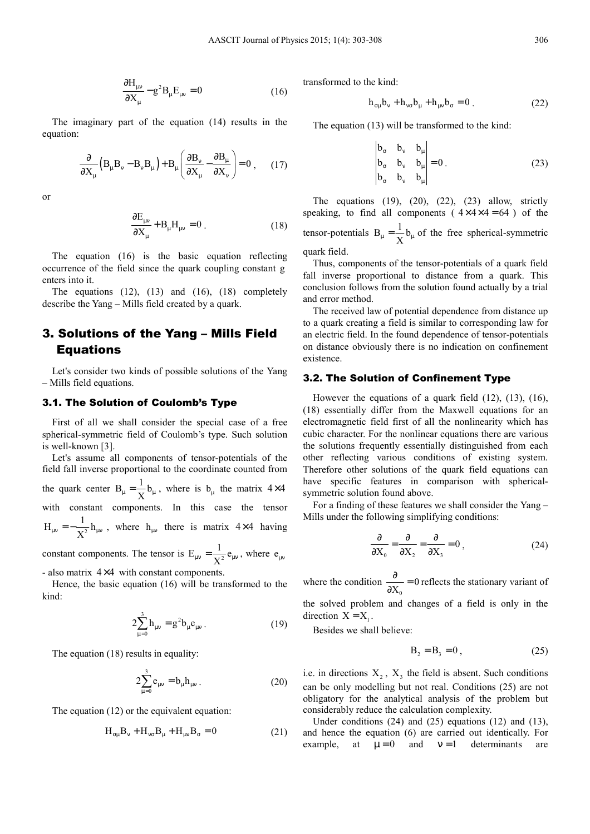$$
\frac{\partial H_{\mu\nu}}{\partial X_{\mu}} - g^2 B_{\mu} E_{\mu\nu} = 0
$$
 (16)

The imaginary part of the equation (14) results in the equation:

$$
\frac{\partial}{\partial X_{\mu}} \left( B_{\mu} B_{\nu} - B_{\nu} B_{\mu} \right) + B_{\mu} \left( \frac{\partial B_{\nu}}{\partial X_{\mu}} - \frac{\partial B_{\mu}}{\partial X_{\nu}} \right) = 0 , \quad (17)
$$

or

$$
\frac{\partial E_{\mu\nu}}{\partial X_{\mu}} + B_{\mu} H_{\mu\nu} = 0.
$$
 (18)

The equation (16) is the basic equation reflecting occurrence of the field since the quark coupling constant g enters into it.

The equations  $(12)$ ,  $(13)$  and  $(16)$ ,  $(18)$  completely describe the Yang – Mills field created by a quark.

## 3. Solutions of the Yang – Mills Field Equations

Let's consider two kinds of possible solutions of the Yang – Mills field equations.

#### 3.1. The Solution of Coulomb's Type

First of all we shall consider the special case of a free spherical-symmetric field of Coulomb's type. Such solution is well-known [3].

Let's assume all components of tensor-potentials of the field fall inverse proportional to the coordinate counted from the quark center  $B_{\mu} = \frac{1}{X} b_{\mu}$ , where is  $b_{\mu}$  the matrix 4×4 with constant components. In this case the tensor 2  $H_{\mu\nu} = -\frac{1}{X^2} h_{\mu\nu}$ , where  $h_{\mu\nu}$  there is matrix 4×4 having

constant components. The tensor is  $E_{\mu\nu} = \frac{1}{X^2} e_{\mu\nu}$ , where  $e_{\mu\nu}$ 

- also matrix  $4 \times 4$  with constant components.

Hence, the basic equation (16) will be transformed to the kind:

$$
2\sum_{\mu=0}^{3} h_{\mu\nu} = g^2 b_{\mu} e_{\mu\nu} . \qquad (19)
$$

The equation (18) results in equality:

$$
2\sum_{\mu=0}^{3} e_{\mu\nu} = b_{\mu} h_{\mu\nu} . \tag{20}
$$

The equation (12) or the equivalent equation:

$$
H_{\sigma\mu}B_{\nu} + H_{\nu\sigma}B_{\mu} + H_{\mu\nu}B_{\sigma} = 0
$$
 (21)

transformed to the kind:

$$
h_{\sigma\mu}b_{\nu} + h_{\nu\sigma}b_{\mu} + h_{\mu\nu}b_{\sigma} = 0
$$
 (22)

The equation (13) will be transformed to the kind:

$$
\begin{vmatrix} b_{\sigma} & b_{\nu} & b_{\mu} \\ b_{\sigma} & b_{\nu} & b_{\mu} \\ b_{\sigma} & b_{\nu} & b_{\mu} \end{vmatrix} = 0.
$$
 (23)

The equations  $(19)$ ,  $(20)$ ,  $(22)$ ,  $(23)$  allow, strictly speaking, to find all components ( $4 \times 4 \times 4 = 64$ ) of the tensor-potentials  $B_{\mu} = \frac{1}{X} b_{\mu}$  of the free spherical-symmetric quark field.

Thus, components of the tensor-potentials of a quark field fall inverse proportional to distance from a quark. This conclusion follows from the solution found actually by a trial and error method.

The received law of potential dependence from distance up to a quark creating a field is similar to corresponding law for an electric field. In the found dependence of tensor-potentials on distance obviously there is no indication on confinement existence.

### 3.2. The Solution of Confinement Type

However the equations of a quark field (12), (13), (16), (18) essentially differ from the Maxwell equations for an electromagnetic field first of all the nonlinearity which has cubic character. For the nonlinear equations there are various the solutions frequently essentially distinguished from each other reflecting various conditions of existing system. Therefore other solutions of the quark field equations can have specific features in comparison with sphericalsymmetric solution found above.

For a finding of these features we shall consider the Yang – Mills under the following simplifying conditions:

$$
\frac{\partial}{\partial X_0} = \frac{\partial}{\partial X_2} = \frac{\partial}{\partial X_3} = 0,
$$
 (24)

where the condition  $<sup>0</sup>$ </sup>  $\frac{6}{X_0} = 0$  $\frac{\partial}{\partial X_0}$  = 0 reflects the stationary variant of

the solved problem and changes of a field is only in the direction  $X = X_1$ .

Besides we shall believe:

$$
B_2 = B_3 = 0, \t(25)
$$

i.e. in directions  $X_2$ ,  $X_3$  the field is absent. Such conditions can be only modelling but not real. Conditions (25) are not obligatory for the analytical analysis of the problem but considerably reduce the calculation complexity.

Under conditions (24) and (25) equations (12) and (13), and hence the equation (6) are carried out identically. For example, at  $\mu = 0$  and  $v = 1$  determinants are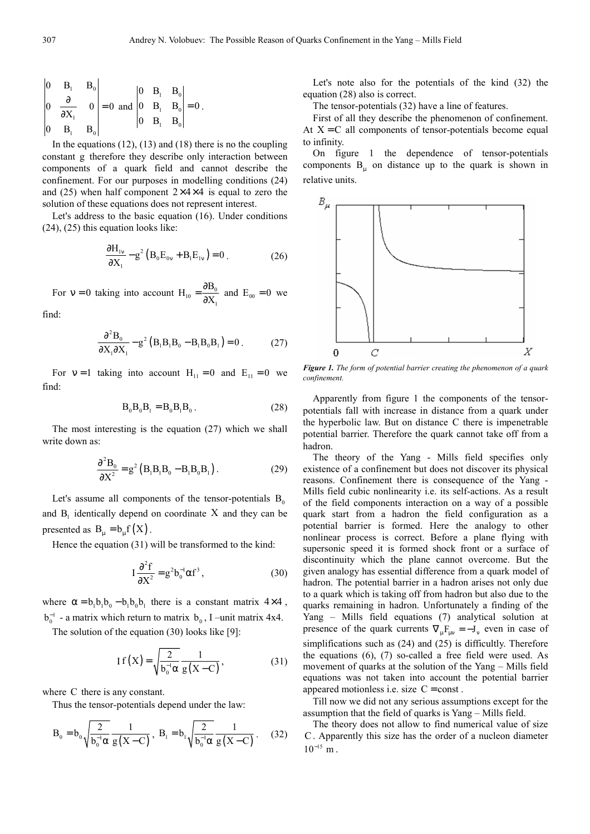$$
\begin{vmatrix} 0 & B_1 & B_0 \ 0 & \frac{\partial}{\partial X_1} & 0 \ 0 & B_1 & B_0 \end{vmatrix} = 0 \text{ and } \begin{vmatrix} 0 & B_1 & B_0 \ 0 & B_1 & B_0 \ 0 & B_1 & B_0 \end{vmatrix} = 0.
$$

In the equations  $(12)$ ,  $(13)$  and  $(18)$  there is no the coupling constant g therefore they describe only interaction between components of a quark field and cannot describe the confinement. For our purposes in modelling conditions (24) and (25) when half component  $2\times 4\times 4$  is equal to zero the solution of these equations does not represent interest.

Let's address to the basic equation (16). Under conditions (24), (25) this equation looks like:

$$
\frac{\partial H_{1v}}{\partial X_1} - g^2 (B_0 E_{0v} + B_1 E_{1v}) = 0.
$$
 (26)

For  $v = 0$  taking into account  $H_{10} = \frac{0.00}{2V}$ 1  $H_{10} = \frac{\partial B_0}{\partial X}$  $=\frac{\partial B_0}{\partial X_1}$  and  $E_{00} = 0$  we

find:

$$
\frac{\partial^2 B_0}{\partial X_1 \partial X_1} - g^2 (B_1 B_1 B_0 - B_1 B_0 B_1) = 0.
$$
 (27)

For  $v = 1$  taking into account  $H_{11} = 0$  and  $E_{11} = 0$  we find:

$$
B_0 B_0 B_1 = B_0 B_1 B_0 . \qquad (28)
$$

The most interesting is the equation (27) which we shall write down as:

$$
\frac{\partial^2 B_0}{\partial X^2} = g^2 \left( B_1 B_1 B_0 - B_1 B_0 B_1 \right). \tag{29}
$$

Let's assume all components of the tensor-potentials  $B_0$ and  $B_1$  identically depend on coordinate X and they can be presented as  $B_{\mu} = b_{\mu} f(X)$ .

Hence the equation (31) will be transformed to the kind:

$$
I\frac{\partial^2 f}{\partial X^2} = g^2 b_0^{-1} \alpha f^3, \qquad (30)
$$

where  $\alpha = b_1 b_1 b_0 - b_1 b_0 b_1$  there is a constant matrix 4×4,  $b_0^{-1}$  - a matrix which return to matrix  $b_0$ , I –unit matrix 4x4.

The solution of the equation (30) looks like [9]:

$$
If(X) = \sqrt{\frac{2}{b_0^{-1}\alpha}} \frac{1}{g(X-C)},
$$
\n(31)

where C there is any constant.

Thus the tensor-potentials depend under the law:

$$
B_0 = b_0 \sqrt{\frac{2}{b_0^{-1} \alpha}} \frac{1}{g(X-C)}, B_1 = b_1 \sqrt{\frac{2}{b_0^{-1} \alpha}} \frac{1}{g(X-C)}.
$$
 (32)

Let's note also for the potentials of the kind (32) the equation (28) also is correct.

The tensor-potentials (32) have a line of features.

First of all they describe the phenomenon of confinement. At  $X = C$  all components of tensor-potentials become equal to infinity.

On figure 1 the dependence of tensor-potentials components  $B_{\mu}$  on distance up to the quark is shown in relative units.



*Figure 1. The form of potential barrier creating the phenomenon of a quark confinement.* 

Apparently from figure 1 the components of the tensorpotentials fall with increase in distance from a quark under the hyperbolic law. But on distance C there is impenetrable potential barrier. Therefore the quark cannot take off from a hadron.

The theory of the Yang - Mills field specifies only existence of a confinement but does not discover its physical reasons. Confinement there is consequence of the Yang - Mills field cubic nonlinearity i.e. its self-actions. As a result of the field components interaction on a way of a possible quark start from a hadron the field configuration as a potential barrier is formed. Here the analogy to other nonlinear process is correct. Before a plane flying with supersonic speed it is formed shock front or a surface of discontinuity which the plane cannot overcome. But the given analogy has essential difference from a quark model of hadron. The potential barrier in a hadron arises not only due to a quark which is taking off from hadron but also due to the quarks remaining in hadron. Unfortunately a finding of the Yang – Mills field equations (7) analytical solution at presence of the quark currents  $\nabla_{\mu} F_{\mu\nu} = -J_{\nu}$  even in case of simplifications such as (24) and (25) is difficultly. Therefore the equations (6), (7) so-called a free field were used. As movement of quarks at the solution of the Yang – Mills field equations was not taken into account the potential barrier appeared motionless i.e. size  $C = const.$ 

Till now we did not any serious assumptions except for the assumption that the field of quarks is Yang – Mills field.

The theory does not allow to find numerical value of size C. Apparently this size has the order of a nucleon diameter  $10^{-15}$  m.